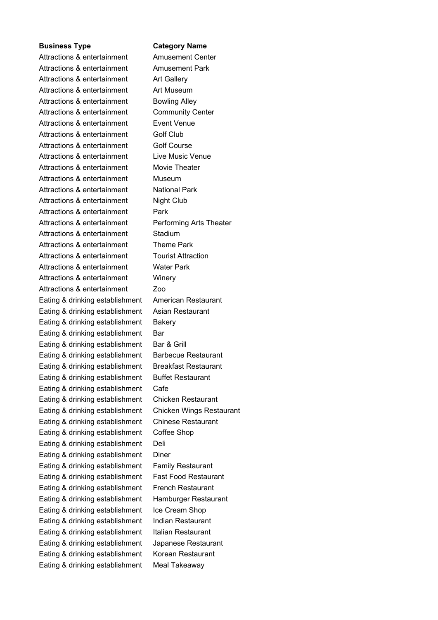Attractions & entertainment Amusement Center Attractions & entertainment Amusement Park Attractions & entertainment Art Gallery Attractions & entertainment Art Museum Attractions & entertainment Bowling Alley Attractions & entertainment Community Center Attractions & entertainment Event Venue Attractions & entertainment Golf Club Attractions & entertainment Golf Course Attractions & entertainment Live Music Venue Attractions & entertainment Movie Theater Attractions & entertainment Museum Attractions & entertainment National Park Attractions & entertainment Night Club Attractions & entertainment Park Attractions & entertainment Performing Arts Theater Attractions & entertainment Stadium Attractions & entertainment Theme Park Attractions & entertainment Tourist Attraction Attractions & entertainment Water Park Attractions & entertainment Winery Attractions & entertainment Zoo Eating & drinking establishment American Restaurant Eating & drinking establishment Asian Restaurant Eating & drinking establishment Bakery Eating & drinking establishment Bar Eating & drinking establishment Bar & Grill Eating & drinking establishment Barbecue Restaurant Eating & drinking establishment Breakfast Restaurant Eating & drinking establishment Buffet Restaurant Eating & drinking establishment Cafe Eating & drinking establishment Chicken Restaurant Eating & drinking establishment Chicken Wings Restaurant Eating & drinking establishment Chinese Restaurant Eating & drinking establishment Coffee Shop Eating & drinking establishment Deli Eating & drinking establishment Diner Eating & drinking establishment Family Restaurant Eating & drinking establishment Fast Food Restaurant Eating & drinking establishment French Restaurant Eating & drinking establishment Hamburger Restaurant Eating & drinking establishment Ice Cream Shop Eating & drinking establishment Indian Restaurant Eating & drinking establishment Italian Restaurant Eating & drinking establishment Japanese Restaurant Eating & drinking establishment Korean Restaurant Eating & drinking establishment Meal Takeaway

## **Business Type Category Name**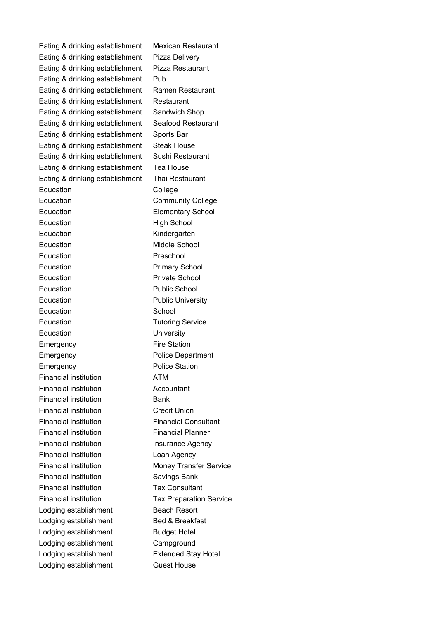Eating & drinking establishment Mexican Restaurant Eating & drinking establishment Pizza Delivery Eating & drinking establishment Pizza Restaurant Eating & drinking establishment Pub Eating & drinking establishment Ramen Restaurant Eating & drinking establishment Restaurant Eating & drinking establishment Sandwich Shop Eating & drinking establishment Seafood Restaurant Eating & drinking establishment Sports Bar Eating & drinking establishment Steak House Eating & drinking establishment Sushi Restaurant Eating & drinking establishment Tea House Eating & drinking establishment Thai Restaurant Education **College** Education **Community College** Education **Elementary School** Education **High School** Education Kindergarten Education Middle School Education **Preschool** Education **Primary School** Education **Private School** Education **Public School** Education **Public University** Education **School** Education **Tutoring Service** Education **University** Emergency **Fire Station** Emergency **Police Department** Emergency **Police Station** Financial institution ATM Financial institution Accountant Financial institution **Bank** Financial institution Credit Union Financial institution Financial Consultant Financial institution Financial Planner Financial institution Insurance Agency Financial institution Loan Agency Financial institution Money Transfer Service Financial institution Savings Bank Financial institution Tax Consultant Financial institution Tax Preparation Service Lodging establishment Beach Resort Lodging establishment Bed & Breakfast Lodging establishment Budget Hotel Lodging establishment Campground Lodging establishment Extended Stay Hotel Lodging establishment **Guest House**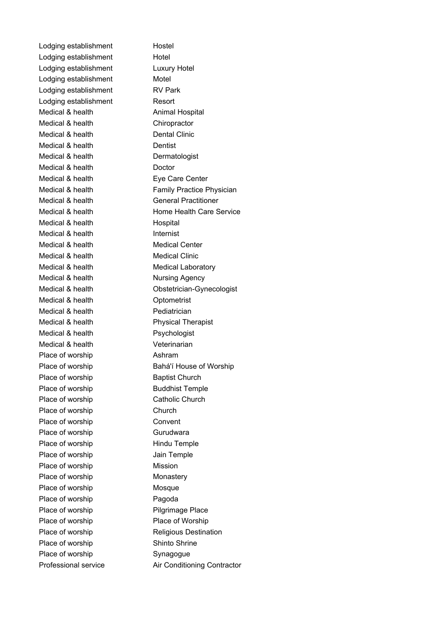Lodging establishment Hostel Lodging establishment Hotel Lodging establishment Luxury Hotel Lodging establishment Motel Lodging establishment RV Park Lodging establishment Resort Medical & health Animal Hospital Medical & health Chiropractor Medical & health Dental Clinic Medical & health Dentist Medical & health Dermatologist Medical & health Doctor Medical & health Eye Care Center Medical & health General Practitioner Medical & health Hospital Medical & health Internist Medical & health Medical Center Medical & health Medical Clinic Medical & health Medical Laboratory Medical & health Nursing Agency Medical & health **Optometrist** Medical & health Pediatrician Medical & health Physical Therapist Medical & health Psychologist Medical & health Veterinarian Place of worship Ashram Place of worship Baptist Church Place of worship Buddhist Temple Place of worship Catholic Church Place of worship Church Place of worship Convent Place of worship Gurudwara Place of worship Hindu Temple Place of worship **Jain Temple** Place of worship Mission Place of worship Monastery Place of worship Mosque Place of worship Pagoda Place of worship Pilgrimage Place Place of worship Place of Worship Place of worship Shinto Shrine Place of worship Synagogue

Medical & health Family Practice Physician Medical & health Home Health Care Service Medical & health **Obstetrician-Gynecologist** Place of worship Bahá'í House of Worship Place of worship Religious Destination Professional service Air Conditioning Contractor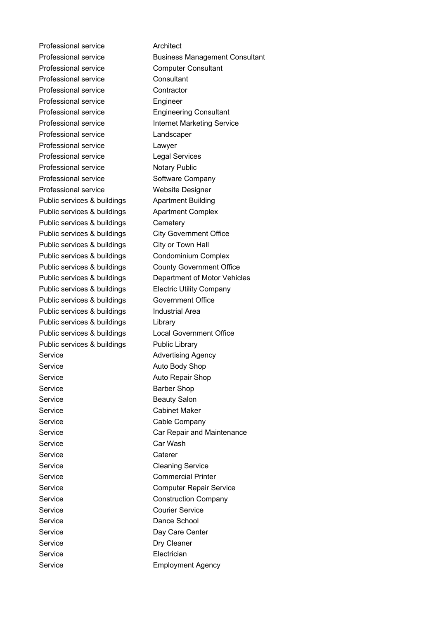Professional service **Architect** Professional service Business Management Consultant Professional service Computer Consultant Professional service Consultant Professional service Contractor Professional service Engineer Professional service Engineering Consultant Professional service **Internet Marketing Service** Professional service Landscaper Professional service Lawyer Professional service Legal Services Professional service Notary Public Professional service Software Company Professional service Website Designer Public services & buildings Apartment Building Public services & buildings Apartment Complex Public services & buildings Cemetery Public services & buildings City Government Office Public services & buildings City or Town Hall Public services & buildings Condominium Complex Public services & buildings County Government Office Public services & buildings Department of Motor Vehicles Public services & buildings Electric Utility Company Public services & buildings Government Office Public services & buildings Industrial Area Public services & buildings Library Public services & buildings Local Government Office Public services & buildings Public Library Service **Advertising Agency** Service **Auto Body Shop** Service **Auto Repair Shop** Service **Barber Shop** Service **Beauty Salon** Service Cabinet Maker Service Cable Company Service **Car Repair and Maintenance** Service Car Wash Service Caterer Service Cleaning Service Service **Commercial Printer** Service **Computer Repair Service** Service Construction Company Service Courier Service Service Dance School Service Day Care Center Service Dry Cleaner Service **Electrician** Service Employment Agency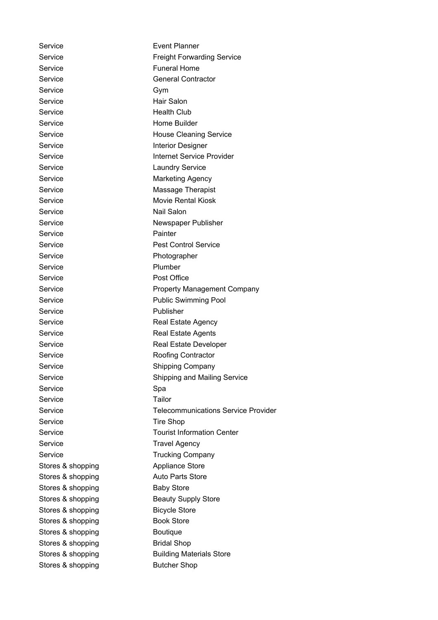Service **Event Planner** Service **Freight Forwarding Service** Service **Funeral Home** Service General Contractor Service Gym Service Hair Salon Service Health Club Service Home Builder Service **House Cleaning Service** Service **Interior Designer** Service **Internet Service Provider** Service Laundry Service Service Marketing Agency Service Massage Therapist Service Movie Rental Kiosk Service Nail Salon Service Newspaper Publisher Service Painter Service **Pest Control Service** Service Photographer Service Plumber Service Post Office Service **Property Management Company** Service **Public Swimming Pool** Service **Publisher** Service **Real Estate Agency** Service Real Estate Agents Service **Real Estate Developer** Service Roofing Contractor Service Shipping Company Service Shipping and Mailing Service Service Spa Service Tailor Service **Telecommunications Service Provider** Service Tire Shop Service **Tourist Information Center** Service Travel Agency Service Trucking Company Stores & shopping Appliance Store Stores & shopping **Auto Parts Store** Stores & shopping Baby Store Stores & shopping Beauty Supply Store Stores & shopping Bicycle Store Stores & shopping Book Store Stores & shopping Boutique Stores & shopping Bridal Shop Stores & shopping **Building Materials Store** Stores & shopping Butcher Shop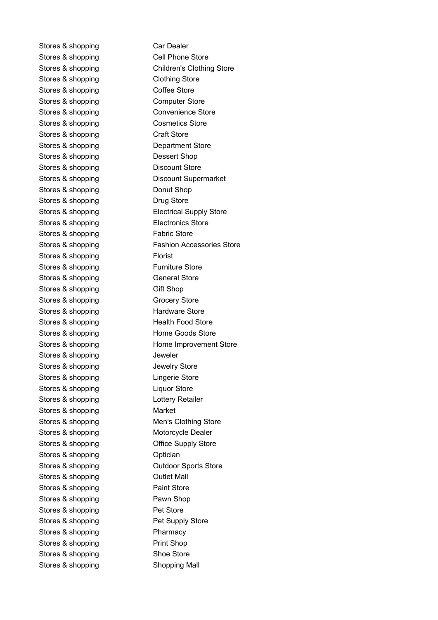Stores & shopping Car Dealer Stores & shopping Cell Phone Store Stores & shopping Clothing Store Stores & shopping Coffee Store Stores & shopping Computer Store Stores & shopping Convenience Store Stores & shopping Cosmetics Store Stores & shopping Craft Store Stores & shopping Department Store Stores & shopping Dessert Shop Stores & shopping Discount Store Stores & shopping Donut Shop Stores & shopping Drug Store Stores & shopping Electronics Store Stores & shopping Fabric Store Stores & shopping Florist Stores & shopping Furniture Store Stores & shopping General Store Stores & shopping Gift Shop Stores & shopping Grocery Store Stores & shopping Hardware Store Stores & shopping Health Food Store Stores & shopping Home Goods Store Stores & shopping and Deweler Stores & shopping **Stores** Jewelry Store Stores & shopping Lingerie Store Stores & shopping Liquor Store Stores & shopping Exercise Lottery Retailer Stores & shopping Market Stores & shopping Motorcycle Dealer Stores & shopping **Contact Store** Office Supply Store Stores & shopping **Canadian** Optician Stores & shopping **Canadian Coutlet Mall** Stores & shopping **Paint Store** Stores & shopping Pawn Shop Stores & shopping Pet Store Stores & shopping **Pet Supply Store** Stores & shopping Pharmacy Stores & shopping Print Shop Stores & shopping Shoe Store Stores & shopping Shopping Mall

Stores & shopping Children's Clothing Store Stores & shopping Discount Supermarket Stores & shopping Electrical Supply Store Stores & shopping Fashion Accessories Store Stores & shopping Home Improvement Store Stores & shopping Men's Clothing Store Stores & shopping **Canadia** Outdoor Sports Store